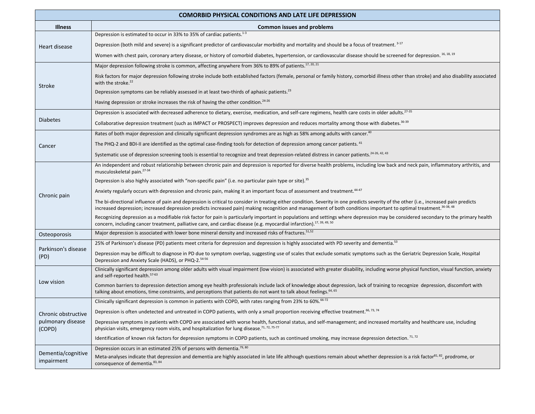| <b>COMORBID PHYSICAL CONDITIONS AND LATE LIFE DEPRESSION</b> |                                                                                                                                                                                                                                                                                                                                                                          |
|--------------------------------------------------------------|--------------------------------------------------------------------------------------------------------------------------------------------------------------------------------------------------------------------------------------------------------------------------------------------------------------------------------------------------------------------------|
| <b>Illness</b>                                               | Common issues and problems                                                                                                                                                                                                                                                                                                                                               |
| Heart disease                                                | Depression is estimated to occur in 33% to 35% of cardiac patients. <sup>1-3</sup>                                                                                                                                                                                                                                                                                       |
|                                                              | Depression (both mild and severe) is a significant predictor of cardiovascular morbidity and mortality and should be a focus of treatment. 3-17                                                                                                                                                                                                                          |
|                                                              | Women with chest pain, coronary artery disease, or history of comorbid diabetes, hypertension, or cardiovascular disease should be screened for depression. 16, 18, 19                                                                                                                                                                                                   |
| Stroke                                                       | Major depression following stroke is common, affecting anywhere from 36% to 89% of patients. <sup>17, 20, 21</sup>                                                                                                                                                                                                                                                       |
|                                                              | Risk factors for major depression following stroke include both established factors (female, personal or family history, comorbid illness other than stroke) and also disability associated<br>with the stroke. <sup>22</sup>                                                                                                                                            |
|                                                              | Depression symptoms can be reliably assessed in at least two-thirds of aphasic patients. <sup>23</sup>                                                                                                                                                                                                                                                                   |
|                                                              | Having depression or stroke increases the risk of having the other condition. <sup>24-26</sup>                                                                                                                                                                                                                                                                           |
| <b>Diabetes</b>                                              | Depression is associated with decreased adherence to dietary, exercise, medication, and self-care regimens, health care costs in older adults. <sup>27-35</sup>                                                                                                                                                                                                          |
|                                                              | Collaborative depression treatment (such as IMPACT or PROSPECT) improves depression and reduces mortality among those with diabetes. <sup>36-39</sup>                                                                                                                                                                                                                    |
| Cancer                                                       | Rates of both major depression and clinically significant depression syndromes are as high as 58% among adults with cancer. <sup>40</sup>                                                                                                                                                                                                                                |
|                                                              | The PHQ-2 and BDI-II are identified as the optimal case-finding tools for detection of depression among cancer patients. <sup>41</sup>                                                                                                                                                                                                                                   |
|                                                              | Systematic use of depression screening tools is essential to recognize and treat depression-related distress in cancer patients. 24-26, 42, 43                                                                                                                                                                                                                           |
| Chronic pain                                                 | An independent and robust relationship between chronic pain and depression is reported for diverse health problems, including low back and neck pain, inflammatory arthritis, and<br>musculoskeletal pain. <sup>27-34</sup>                                                                                                                                              |
|                                                              | Depression is also highly associated with "non-specific pain" (i.e. no particular pain type or site). <sup>35</sup>                                                                                                                                                                                                                                                      |
|                                                              | Anxiety regularly occurs with depression and chronic pain, making it an important focus of assessment and treatment. <sup>44-47</sup>                                                                                                                                                                                                                                    |
|                                                              | The bi-directional influence of pain and depression is critical to consider in treating either condition. Severity in one predicts severity of the other (i.e., increased pain predicts<br>increased depression; increased depression predicts increased pain) making recognition and management of both conditions important to optimal treatment. <sup>36-38, 48</sup> |
|                                                              | Recognizing depression as a modifiable risk factor for pain is particularly important in populations and settings where depression may be considered secondary to the primary health<br>concern, including cancer treatment, palliative care, and cardiac disease (e.g. myocardial infarction). <sup>17, 39, 49, 50</sup>                                                |
| Osteoporosis                                                 | Major depression is associated with lower bone mineral density and increased risks of fractures. <sup>51,52</sup>                                                                                                                                                                                                                                                        |
| Parkinson's disease<br>(PD)                                  | 25% of Parkinson's disease (PD) patients meet criteria for depression and depression is highly associated with PD severity and dementia. <sup>53</sup>                                                                                                                                                                                                                   |
|                                                              | Depression may be difficult to diagnose in PD due to symptom overlap, suggesting use of scales that exclude somatic symptoms such as the Geriatric Depression Scale, Hospital<br>Depression and Anxiety Scale (HADS), or PHQ-2.54-56                                                                                                                                     |
| Low vision                                                   | Clinically significant depression among older adults with visual impairment (low vision) is associated with greater disability, including worse physical function, visual function, anxiety<br>and self-reported health. <sup>57-63</sup>                                                                                                                                |
|                                                              | Common barriers to depression detection among eye health professionals include lack of knowledge about depression, lack of training to recognize depression, discomfort with<br>talking about emotions, time constraints, and perceptions that patients do not want to talk about feelings. <sup>64, 65</sup>                                                            |
| Chronic obstructive<br>pulmonary disease<br>(COPD)           | Clinically significant depression is common in patients with COPD, with rates ranging from 23% to 60%. <sup>66-72</sup>                                                                                                                                                                                                                                                  |
|                                                              | Depression is often undetected and untreated in COPD patients, with only a small proportion receiving effective treatment. <sup>66, 73, 74</sup>                                                                                                                                                                                                                         |
|                                                              | Depressive symptoms in patients with COPD are associated with worse health, functional status, and self-management; and increased mortality and healthcare use, including<br>physician visits, emergency room visits, and hospitalization for lung disease. <sup>71, 72, 75-77</sup>                                                                                     |
|                                                              | Identification of known risk factors for depression symptoms in COPD patients, such as continued smoking, may increase depression detection. <sup>71,72</sup>                                                                                                                                                                                                            |
| Dementia/cognitive<br>impairment                             | Depression occurs in an estimated 25% of persons with dementia. <sup>79, 80</sup>                                                                                                                                                                                                                                                                                        |
|                                                              | Meta-analyses indicate that depression and dementia are highly associated in late life although questions remain about whether depression is a risk factor <sup>81, 82</sup> , prodrome, or<br>consequence of dementia. <sup>83, 84</sup>                                                                                                                                |